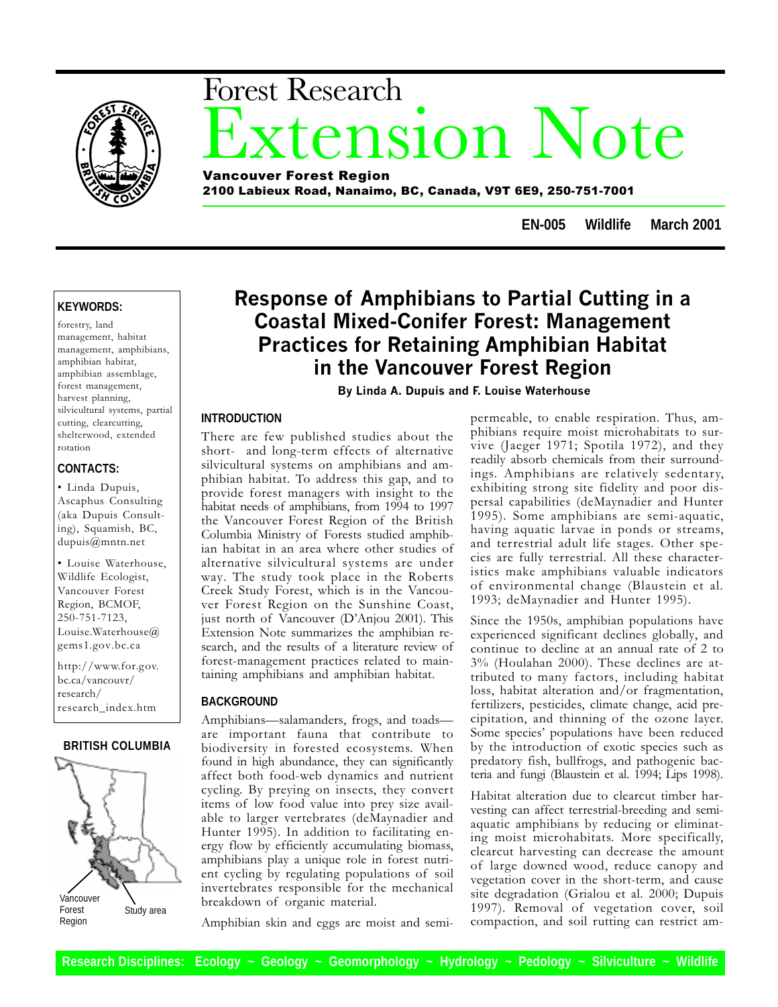

# xtension Note Forest Research Vancouver Forest Region

2100 Labieux Road, Nanaimo, BC, Canada, V9T 6E9, 250-751-7001

**EN-005 Wildlife March 2001**

#### **KEYWORDS:**

forestry, land management, habitat management, amphibians, amphibian habitat, amphibian assemblage, forest management, harvest planning, silvicultural systems, partial cutting, clearcutting, shelterwood, extended rotation

#### **CONTACTS:**

 Linda Dupuis, Ascaphus Consulting (aka Dupuis Consulting), Squamish, BC, dupuis@mntn.net

 Louise Waterhouse, Wildlife Ecologist, Vancouver Forest Region, BCMOF, 250-751-7123, Louise.Waterhouse@ gems1.gov.bc.ca

http://www.for.gov. bc.ca/vancouvr/ research/ research\_index.htm

#### **BRITISH COLUMBIA**



## Response of Amphibians to Partial Cutting in a Coastal Mixed-Conifer Forest: Management Practices for Retaining Amphibian Habitat in the Vancouver Forest Region

By Linda A. Dupuis and F. Louise Waterhouse

#### **INTRODUCTION**

There are few published studies about the short- and long-term effects of alternative silvicultural systems on amphibians and amphibian habitat. To address this gap, and to provide forest managers with insight to the habitat needs of amphibians, from 1994 to 1997 the Vancouver Forest Region of the British Columbia Ministry of Forests studied amphibian habitat in an area where other studies of alternative silvicultural systems are under way. The study took place in the Roberts Creek Study Forest, which is in the Vancouver Forest Region on the Sunshine Coast, just north of Vancouver (D'Anjou 2001). This Extension Note summarizes the amphibian research, and the results of a literature review of forest-management practices related to maintaining amphibians and amphibian habitat.

#### **BACKGROUND**

Amphibians-salamanders, frogs, and toadsare important fauna that contribute to biodiversity in forested ecosystems. When found in high abundance, they can significantly affect both food-web dynamics and nutrient cycling. By preying on insects, they convert items of low food value into prey size available to larger vertebrates (deMaynadier and Hunter 1995). In addition to facilitating energy flow by efficiently accumulating biomass, amphibians play a unique role in forest nutrient cycling by regulating populations of soil invertebrates responsible for the mechanical breakdown of organic material.

Amphibian skin and eggs are moist and semi-

permeable, to enable respiration. Thus, amphibians require moist microhabitats to survive (Jaeger 1971; Spotila 1972), and they readily absorb chemicals from their surroundings. Amphibians are relatively sedentary, exhibiting strong site fidelity and poor dispersal capabilities (deMaynadier and Hunter 1995). Some amphibians are semi-aquatic, having aquatic larvae in ponds or streams, and terrestrial adult life stages. Other species are fully terrestrial. All these characteristics make amphibians valuable indicators of environmental change (Blaustein et al. 1993; deMaynadier and Hunter 1995).

Since the 1950s, amphibian populations have experienced significant declines globally, and continue to decline at an annual rate of 2 to 3% (Houlahan 2000). These declines are attributed to many factors, including habitat loss, habitat alteration and/or fragmentation, fertilizers, pesticides, climate change, acid precipitation, and thinning of the ozone layer. Some species' populations have been reduced by the introduction of exotic species such as predatory fish, bullfrogs, and pathogenic bacteria and fungi (Blaustein et al. 1994; Lips 1998).

Habitat alteration due to clearcut timber harvesting can affect terrestrial-breeding and semiaquatic amphibians by reducing or eliminating moist microhabitats. More specifically, clearcut harvesting can decrease the amount of large downed wood, reduce canopy and vegetation cover in the short-term, and cause site degradation (Grialou et al. 2000; Dupuis 1997). Removal of vegetation cover, soil compaction, and soil rutting can restrict am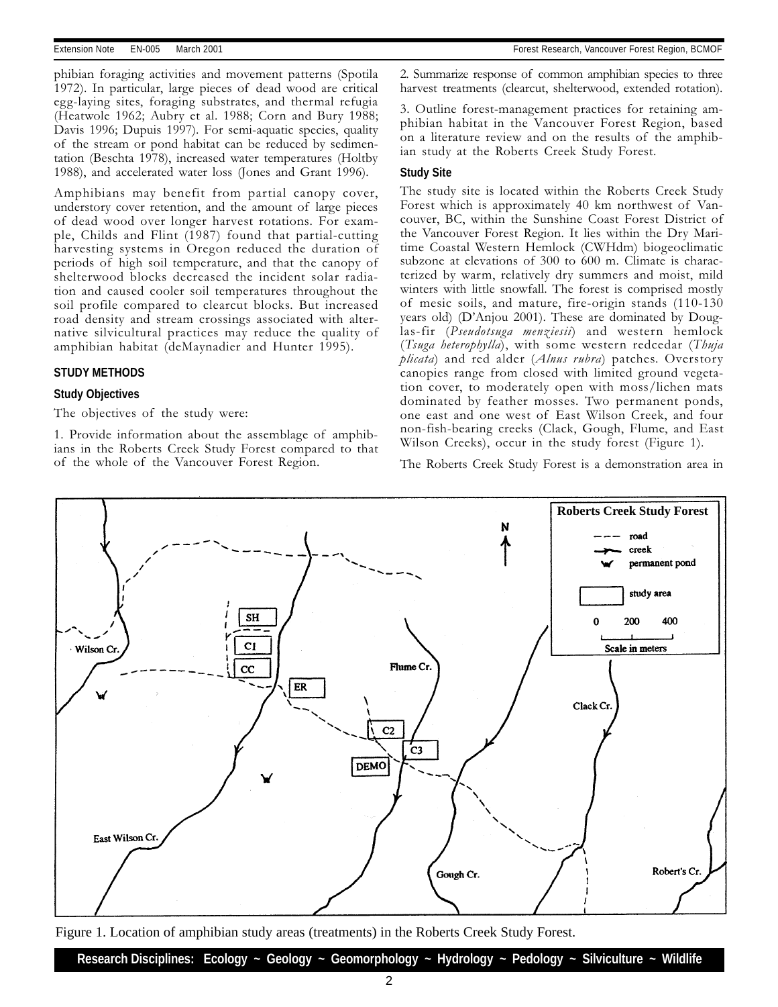phibian foraging activities and movement patterns (Spotila 1972). In particular, large pieces of dead wood are critical egg-laying sites, foraging substrates, and thermal refugia (Heatwole 1962; Aubry et al. 1988; Corn and Bury 1988; Davis 1996; Dupuis 1997). For semi-aquatic species, quality of the stream or pond habitat can be reduced by sedimentation (Beschta 1978), increased water temperatures (Holtby 1988), and accelerated water loss (Jones and Grant 1996).

Amphibians may benefit from partial canopy cover, understory cover retention, and the amount of large pieces of dead wood over longer harvest rotations. For example, Childs and Flint (1987) found that partial-cutting harvesting systems in Oregon reduced the duration of periods of high soil temperature, and that the canopy of shelterwood blocks decreased the incident solar radiation and caused cooler soil temperatures throughout the soil profile compared to clearcut blocks. But increased road density and stream crossings associated with alternative silvicultural practices may reduce the quality of amphibian habitat (deMaynadier and Hunter 1995).

#### **STUDY METHODS**

#### **Study Objectives**

The objectives of the study were:

1. Provide information about the assemblage of amphibians in the Roberts Creek Study Forest compared to that of the whole of the Vancouver Forest Region.

2. Summarize response of common amphibian species to three harvest treatments (clearcut, shelterwood, extended rotation).

3. Outline forest-management practices for retaining amphibian habitat in the Vancouver Forest Region, based on a literature review and on the results of the amphibian study at the Roberts Creek Study Forest.

#### **Study Site**

The study site is located within the Roberts Creek Study Forest which is approximately 40 km northwest of Vancouver, BC, within the Sunshine Coast Forest District of the Vancouver Forest Region. It lies within the Dry Maritime Coastal Western Hemlock (CWHdm) biogeoclimatic subzone at elevations of 300 to 600 m. Climate is characterized by warm, relatively dry summers and moist, mild winters with little snowfall. The forest is comprised mostly of mesic soils, and mature, fire-origin stands (110-130 years old) (D'Anjou 2001). These are dominated by Douglas-fir (Pseudotsuga menziesii) and western hemlock (Tsuga heterophylla), with some western redcedar (Thuja  $p\text{ }l\text{ }i$  and red alder (Alnus rubra) patches. Overstory canopies range from closed with limited ground vegetation cover, to moderately open with moss/lichen mats dominated by feather mosses. Two permanent ponds, one east and one west of East Wilson Creek, and four non-fish-bearing creeks (Clack, Gough, Flume, and East Wilson Creeks), occur in the study forest (Figure 1).

The Roberts Creek Study Forest is a demonstration area in



Figure 1. Location of amphibian study areas (treatments) in the Roberts Creek Study Forest.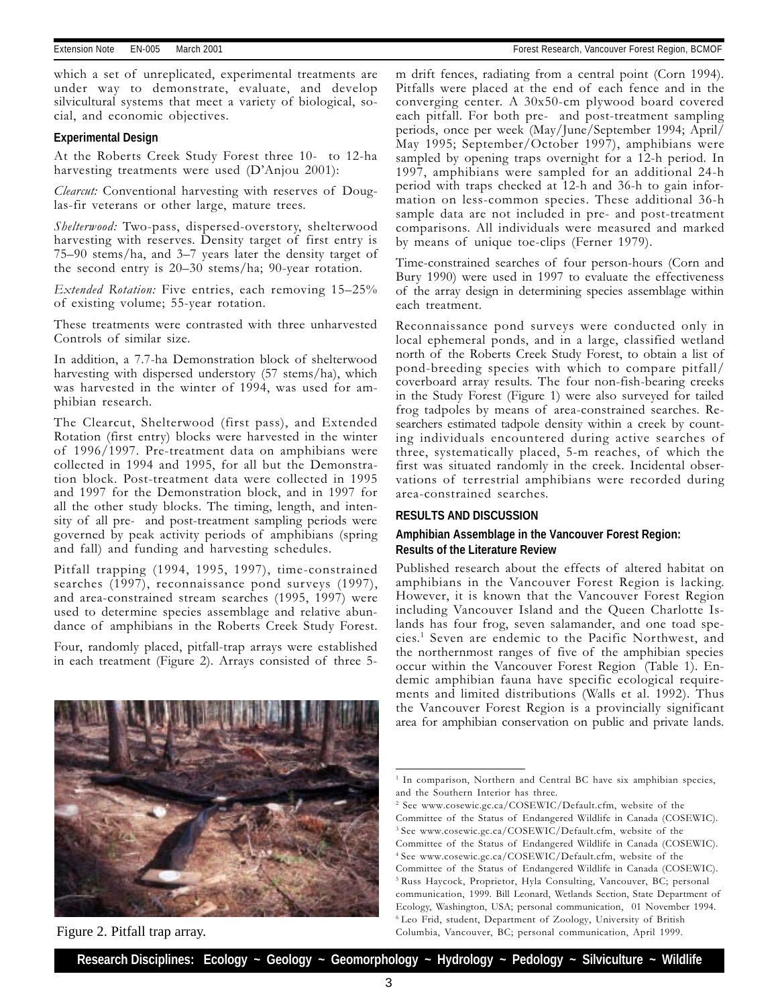which a set of unreplicated, experimental treatments are under way to demonstrate, evaluate, and develop silvicultural systems that meet a variety of biological, social, and economic objectives.

#### **Experimental Design**

At the Roberts Creek Study Forest three 10- to 12-ha harvesting treatments were used  $(D'Anjou 2001)$ :

Clearcut: Conventional harvesting with reserves of Douglas-fir veterans or other large, mature trees.

Shelterwood: Two-pass, dispersed-overstory, shelterwood harvesting with reserves. Density target of first entry is  $75-90$  stems/ha, and  $3-7$  years later the density target of the second entry is  $20-30$  stems/ha; 90-year rotation.

Extended Rotation: Five entries, each removing 15-25% of existing volume; 55-year rotation.

These treatments were contrasted with three unharvested Controls of similar size.

In addition, a 7.7-ha Demonstration block of shelterwood harvesting with dispersed understory (57 stems/ha), which was harvested in the winter of 1994, was used for amphibian research.

The Clearcut, Shelterwood (first pass), and Extended Rotation (first entry) blocks were harvested in the winter of 1996/1997. Pre-treatment data on amphibians were collected in 1994 and 1995, for all but the Demonstration block. Post-treatment data were collected in 1995 and 1997 for the Demonstration block, and in 1997 for all the other study blocks. The timing, length, and intensity of all pre- and post-treatment sampling periods were governed by peak activity periods of amphibians (spring and fall) and funding and harvesting schedules.

Pitfall trapping (1994, 1995, 1997), time-constrained searches (1997), reconnaissance pond surveys (1997), and area-constrained stream searches (1995, 1997) were used to determine species assemblage and relative abundance of amphibians in the Roberts Creek Study Forest.

Four, randomly placed, pitfall-trap arrays were established in each treatment (Figure 2). Arrays consisted of three 5-



Figure 2. Pitfall trap array.

m drift fences, radiating from a central point (Corn 1994). Pitfalls were placed at the end of each fence and in the converging center. A 30x50-cm plywood board covered each pitfall. For both pre- and post-treatment sampling periods, once per week (May/June/September 1994; April/ May 1995; September/October 1997), amphibians were sampled by opening traps overnight for a 12-h period. In 1997, amphibians were sampled for an additional 24-h period with traps checked at 12-h and 36-h to gain information on less-common species. These additional 36-h sample data are not included in pre- and post-treatment comparisons. All individuals were measured and marked by means of unique toe-clips (Ferner 1979).

Time-constrained searches of four person-hours (Corn and Bury 1990) were used in 1997 to evaluate the effectiveness of the array design in determining species assemblage within each treatment.

Reconnaissance pond surveys were conducted only in local ephemeral ponds, and in a large, classified wetland north of the Roberts Creek Study Forest, to obtain a list of pond-breeding species with which to compare pitfall/ coverboard array results. The four non-fish-bearing creeks in the Study Forest (Figure 1) were also surveyed for tailed frog tadpoles by means of area-constrained searches. Researchers estimated tadpole density within a creek by counting individuals encountered during active searches of three, systematically placed, 5-m reaches, of which the first was situated randomly in the creek. Incidental observations of terrestrial amphibians were recorded during area-constrained searches.

#### **RESULTS AND DISCUSSION**

#### **Amphibian Assemblage in the Vancouver Forest Region: Results of the Literature Review**

Published research about the effects of altered habitat on amphibians in the Vancouver Forest Region is lacking. However, it is known that the Vancouver Forest Region including Vancouver Island and the Queen Charlotte Islands has four frog, seven salamander, and one toad species.1 Seven are endemic to the Pacific Northwest, and the northernmost ranges of five of the amphibian species occur within the Vancouver Forest Region (Table 1). Endemic amphibian fauna have specific ecological requirements and limited distributions (Walls et al. 1992). Thus the Vancouver Forest Region is a provincially significant area for amphibian conservation on public and private lands.

<sup>&</sup>lt;sup>1</sup> In comparison, Northern and Central BC have six amphibian species, and the Southern Interior has three.

<sup>2</sup> See www.cosewic.gc.ca/COSEWIC/Default.cfm, website of the Committee of the Status of Endangered Wildlife in Canada (COSEWIC).

<sup>3</sup> See www.cosewic.gc.ca/COSEWIC/Default.cfm, website of the Committee of the Status of Endangered Wildlife in Canada (COSEWIC). 4 See www.cosewic.gc.ca/COSEWIC/Default.cfm, website of the Committee of the Status of Endangered Wildlife in Canada (COSEWIC). 5 Russ Haycock, Proprietor, Hyla Consulting, Vancouver, BC; personal communication, 1999. Bill Leonard, Wetlands Section, State Department of Ecology, Washington, USA; personal communication, 01 November 1994. 6 Leo Frid, student, Department of Zoology, University of British

Columbia, Vancouver, BC; personal communication, April 1999.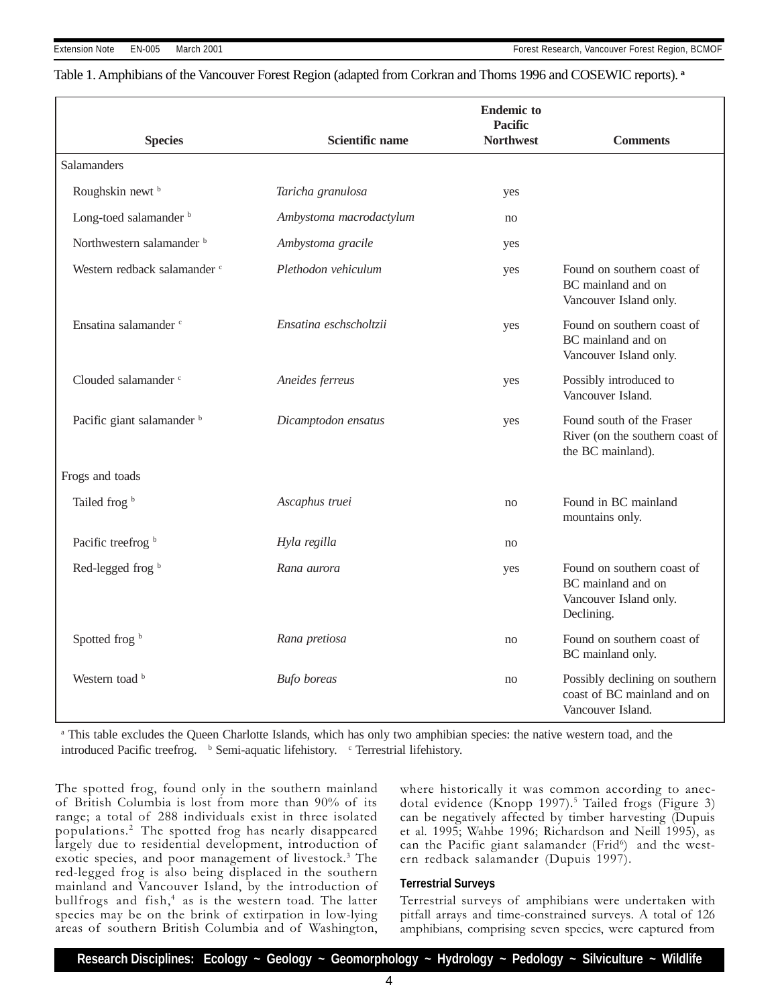#### Table 1. Amphibians of the Vancouver Forest Region (adapted from Corkran and Thoms 1996 and COSEWIC reports). **<sup>a</sup>**

|                                      |                         | <b>Endemic to</b><br><b>Pacific</b>                                               |                                                                                          |  |
|--------------------------------------|-------------------------|-----------------------------------------------------------------------------------|------------------------------------------------------------------------------------------|--|
| <b>Species</b>                       | Scientific name         | <b>Northwest</b>                                                                  | <b>Comments</b>                                                                          |  |
| <b>Salamanders</b>                   |                         |                                                                                   |                                                                                          |  |
| Roughskin newt <sup>b</sup>          | Taricha granulosa       | yes                                                                               |                                                                                          |  |
| Long-toed salamander <sup>b</sup>    | Ambystoma macrodactylum | no                                                                                |                                                                                          |  |
| Northwestern salamander <sup>b</sup> | Ambystoma gracile       | yes                                                                               |                                                                                          |  |
| Western redback salamander c         | Plethodon vehiculum     | Found on southern coast of<br>yes<br>BC mainland and on<br>Vancouver Island only. |                                                                                          |  |
| Ensatina salamander c                | Ensatina eschscholtzii  | yes                                                                               | Found on southern coast of<br>BC mainland and on<br>Vancouver Island only.               |  |
| Clouded salamander c                 | Aneides ferreus         | yes                                                                               | Possibly introduced to<br>Vancouver Island.                                              |  |
| Pacific giant salamander b           | Dicamptodon ensatus     | yes                                                                               | Found south of the Fraser<br>River (on the southern coast of<br>the BC mainland).        |  |
| Frogs and toads                      |                         |                                                                                   |                                                                                          |  |
| Tailed frog b                        | Ascaphus truei          | no                                                                                | Found in BC mainland<br>mountains only.                                                  |  |
| Pacific treefrog b                   | Hyla regilla            | no                                                                                |                                                                                          |  |
| Red-legged frog b                    | Rana aurora             | yes                                                                               | Found on southern coast of<br>BC mainland and on<br>Vancouver Island only.<br>Declining. |  |
| Spotted frog b                       | Rana pretiosa           | no                                                                                | Found on southern coast of<br>BC mainland only.                                          |  |
| Western toad b                       | <b>Bufo</b> boreas      | no                                                                                | Possibly declining on southern<br>coast of BC mainland and on<br>Vancouver Island.       |  |

<sup>a</sup> This table excludes the Queen Charlotte Islands, which has only two amphibian species: the native western toad, and the introduced Pacific treefrog. b Semi-aquatic lifehistory. c Terrestrial lifehistory.

The spotted frog, found only in the southern mainland of British Columbia is lost from more than 90% of its range; a total of 288 individuals exist in three isolated populations.<sup>2</sup> The spotted frog has nearly disappeared largely due to residential development, introduction of exotic species, and poor management of livestock.<sup>3</sup> The red-legged frog is also being displaced in the southern mainland and Vancouver Island, by the introduction of bullfrogs and fish, $4$  as is the western toad. The latter species may be on the brink of extirpation in low-lying areas of southern British Columbia and of Washington,

where historically it was common according to anecdotal evidence (Knopp 1997).<sup>5</sup> Tailed frogs (Figure 3) can be negatively affected by timber harvesting (Dupuis et al. 1995; Wahbe 1996; Richardson and Neill 1995), as can the Pacific giant salamander (Frid<sup>6</sup>) and the western redback salamander (Dupuis 1997).

#### **Terrestrial Surveys**

Terrestrial surveys of amphibians were undertaken with pitfall arrays and time-constrained surveys. A total of 126 amphibians, comprising seven species, were captured from

**Research Disciplines: Ecology ~ Geology ~ Geomorphology ~ Hydrology ~ Pedology ~ Silviculture ~ Wildlife**

4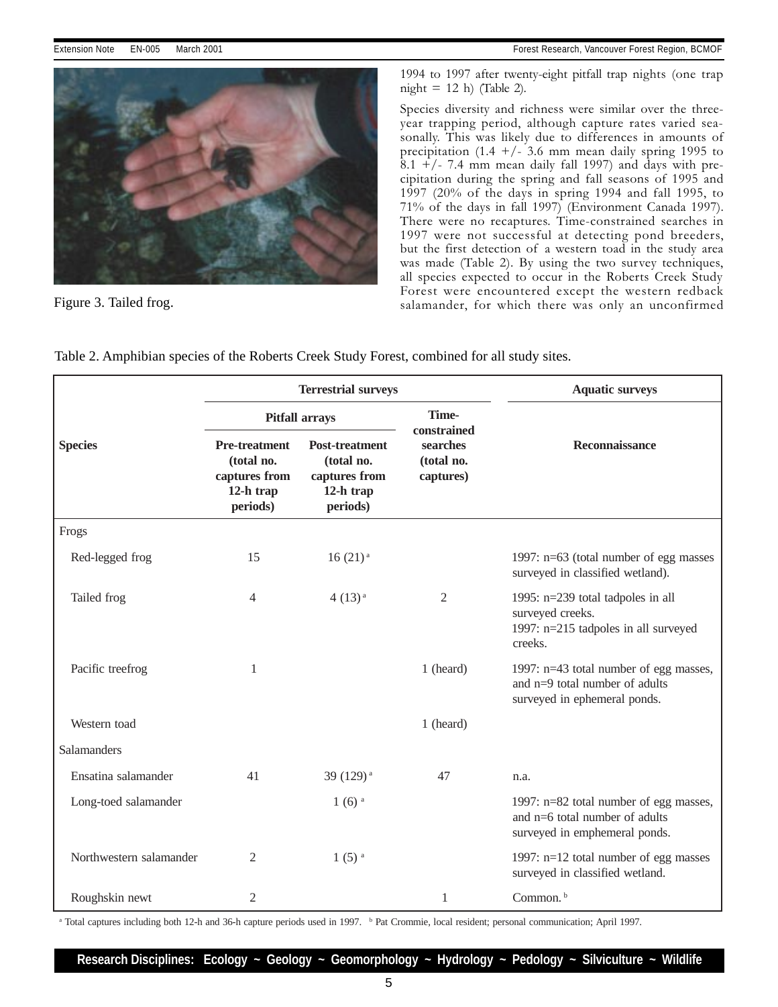



1994 to 1997 after twenty-eight pitfall trap nights (one trap night  $= 12$  h) (Table 2).

Species diversity and richness were similar over the threeyear trapping period, although capture rates varied seasonally. This was likely due to differences in amounts of precipitation (1.4  $+/-$  3.6 mm mean daily spring 1995 to  $8.1 +$  /- 7.4 mm mean daily fall 1997) and days with precipitation during the spring and fall seasons of 1995 and 1997 (20% of the days in spring 1994 and fall 1995, to 71% of the days in fall 1997) (Environment Canada 1997). There were no recaptures. Time-constrained searches in 1997 were not successful at detecting pond breeders, but the first detection of a western toad in the study area was made (Table 2). By using the two survey techniques, all species expected to occur in the Roberts Creek Study Forest were encountered except the western redback<br>Figure 3. Tailed frog. Salamander, for which there was only an unconfirmed

|                         | <b>Terrestrial surveys</b>                                                   |                                                                               |                                                    | <b>Aquatic surveys</b>                                                                                     |  |
|-------------------------|------------------------------------------------------------------------------|-------------------------------------------------------------------------------|----------------------------------------------------|------------------------------------------------------------------------------------------------------------|--|
|                         | <b>Pitfall arrays</b>                                                        |                                                                               | Time-                                              |                                                                                                            |  |
| <b>Species</b>          | <b>Pre-treatment</b><br>(total no.<br>captures from<br>12-h trap<br>periods) | <b>Post-treatment</b><br>(total no.<br>captures from<br>12-h trap<br>periods) | constrained<br>searches<br>(total no.<br>captures) | Reconnaissance                                                                                             |  |
| Frogs                   |                                                                              |                                                                               |                                                    |                                                                                                            |  |
| Red-legged frog         | 15                                                                           | $16(21)$ <sup>a</sup>                                                         |                                                    | 1997: n=63 (total number of egg masses<br>surveyed in classified wetland).                                 |  |
| Tailed frog             | 4                                                                            | 4(13) <sup>a</sup>                                                            | 2                                                  | 1995: n=239 total tadpoles in all<br>surveyed creeks.<br>1997: n=215 tadpoles in all surveyed<br>creeks.   |  |
| Pacific treefrog        | 1                                                                            |                                                                               | 1 (heard)                                          | 1997: n=43 total number of egg masses,<br>and $n=9$ total number of adults<br>surveyed in ephemeral ponds. |  |
| Western toad            |                                                                              |                                                                               | 1 (heard)                                          |                                                                                                            |  |
| Salamanders             |                                                                              |                                                                               |                                                    |                                                                                                            |  |
| Ensatina salamander     | 41                                                                           | 39 (129) <sup>a</sup>                                                         | 47                                                 | n.a.                                                                                                       |  |
| Long-toed salamander    |                                                                              | $1(6)$ <sup>a</sup>                                                           |                                                    | 1997: n=82 total number of egg masses,<br>and n=6 total number of adults<br>surveyed in emphemeral ponds.  |  |
| Northwestern salamander | 2                                                                            | $1(5)$ <sup>a</sup>                                                           |                                                    | 1997: n=12 total number of egg masses<br>surveyed in classified wetland.                                   |  |
| Roughskin newt          | 2                                                                            |                                                                               | 1                                                  | Common. <sup>b</sup>                                                                                       |  |

Table 2. Amphibian species of the Roberts Creek Study Forest, combined for all study sites.

<sup>a</sup> Total captures including both 12-h and 36-h capture periods used in 1997. <sup>b</sup> Pat Crommie, local resident; personal communication; April 1997.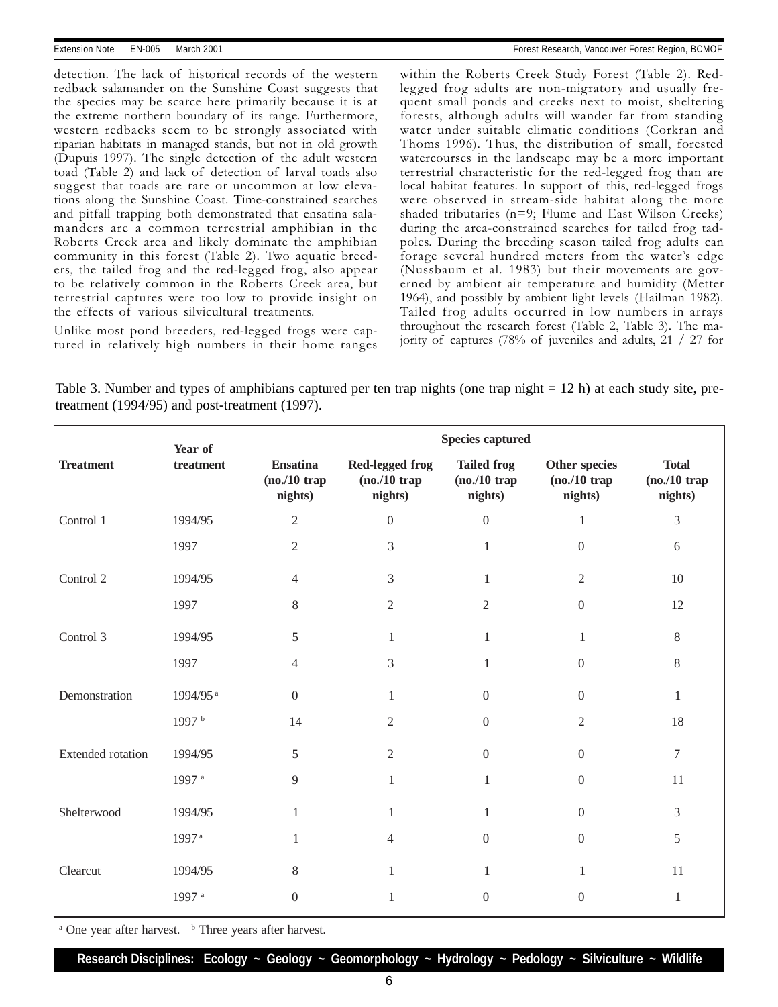detection. The lack of historical records of the western redback salamander on the Sunshine Coast suggests that the species may be scarce here primarily because it is at the extreme northern boundary of its range. Furthermore, western redbacks seem to be strongly associated with riparian habitats in managed stands, but not in old growth (Dupuis 1997). The single detection of the adult western toad (Table 2) and lack of detection of larval toads also suggest that toads are rare or uncommon at low elevations along the Sunshine Coast. Time-constrained searches and pitfall trapping both demonstrated that ensatina salamanders are a common terrestrial amphibian in the Roberts Creek area and likely dominate the amphibian community in this forest (Table 2). Two aquatic breeders, the tailed frog and the red-legged frog, also appear to be relatively common in the Roberts Creek area, but terrestrial captures were too low to provide insight on the effects of various silvicultural treatments.

Unlike most pond breeders, red-legged frogs were captured in relatively high numbers in their home ranges

within the Roberts Creek Study Forest (Table 2). Redlegged frog adults are non-migratory and usually frequent small ponds and creeks next to moist, sheltering forests, although adults will wander far from standing water under suitable climatic conditions (Corkran and Thoms 1996). Thus, the distribution of small, forested watercourses in the landscape may be a more important terrestrial characteristic for the red-legged frog than are local habitat features. In support of this, red-legged frogs were observed in stream-side habitat along the more shaded tributaries (n=9; Flume and East Wilson Creeks) during the area-constrained searches for tailed frog tadpoles. During the breeding season tailed frog adults can forage several hundred meters from the water's edge (Nussbaum et al. 1983) but their movements are governed by ambient air temperature and humidity (Metter 1964), and possibly by ambient light levels (Hailman 1982). Tailed frog adults occurred in low numbers in arrays throughout the research forest (Table 2, Table 3). The majority of captures (78% of juveniles and adults, 21 / 27 for

Table 3. Number and types of amphibians captured per ten trap nights (one trap night = 12 h) at each study site, pretreatment (1994/95) and post-treatment (1997).

| <b>Treatment</b>         | Year of<br>$treatment$ | <b>Species captured</b>                      |                                                       |                                                 |                                              |                                           |  |
|--------------------------|------------------------|----------------------------------------------|-------------------------------------------------------|-------------------------------------------------|----------------------------------------------|-------------------------------------------|--|
|                          |                        | <b>Ensatina</b><br>$(no./10$ trap<br>nights) | <b>Red-legged frog</b><br>$(no. / 10$ trap<br>nights) | <b>Tailed frog</b><br>$(no./10$ trap<br>nights) | Other species<br>$(no. / 10$ trap<br>nights) | <b>Total</b><br>$(no./10$ trap<br>nights) |  |
| Control 1                | 1994/95                | $\overline{2}$                               | $\boldsymbol{0}$                                      | $\boldsymbol{0}$                                | 1                                            | 3                                         |  |
|                          | 1997                   | $\mathfrak{2}$                               | 3                                                     | $\mathbf{1}$                                    | $\mathbf{0}$                                 | $6\,$                                     |  |
| Control 2                | 1994/95                | $\overline{4}$                               | 3                                                     | 1                                               | 2                                            | 10                                        |  |
|                          | 1997                   | $8\,$                                        | $\overline{2}$                                        | $\overline{2}$                                  | $\boldsymbol{0}$                             | 12                                        |  |
| Control 3                | 1994/95                | 5                                            | 1                                                     | 1                                               | 1                                            | $\,8\,$                                   |  |
|                          | 1997                   | $\overline{4}$                               | 3                                                     |                                                 | $\mathbf{0}$                                 | $8\,$                                     |  |
| Demonstration            | 1994/95 <sup>a</sup>   | $\mathbf{0}$                                 | 1                                                     | $\boldsymbol{0}$                                | $\Omega$                                     | $\mathbf{1}$                              |  |
|                          | 1997 b                 | 14                                           | $\overline{2}$                                        | $\mathbf{0}$                                    | 2                                            | 18                                        |  |
| <b>Extended</b> rotation | 1994/95                | 5                                            | $\mathfrak{2}$                                        | $\boldsymbol{0}$                                | $\mathbf{0}$                                 | $\tau$                                    |  |
|                          | 1997 <sup>a</sup>      | 9                                            | 1                                                     | 1                                               | $\Omega$                                     | 11                                        |  |
| Shelterwood              | 1994/95                | 1                                            | 1                                                     | 1                                               | $\Omega$                                     | $\mathfrak{Z}$                            |  |
|                          | 1997 <sup>a</sup>      | 1                                            | 4                                                     | $\boldsymbol{0}$                                | $\boldsymbol{0}$                             | 5                                         |  |
| Clearcut                 | 1994/95                | 8                                            | 1                                                     | 1                                               | 1                                            | 11                                        |  |
|                          | 1997 a                 | $\Omega$                                     | 1                                                     | $\theta$                                        | $\overline{0}$                               | $\mathbf{1}$                              |  |

 $a$  One year after harvest.  $b$  Three years after harvest.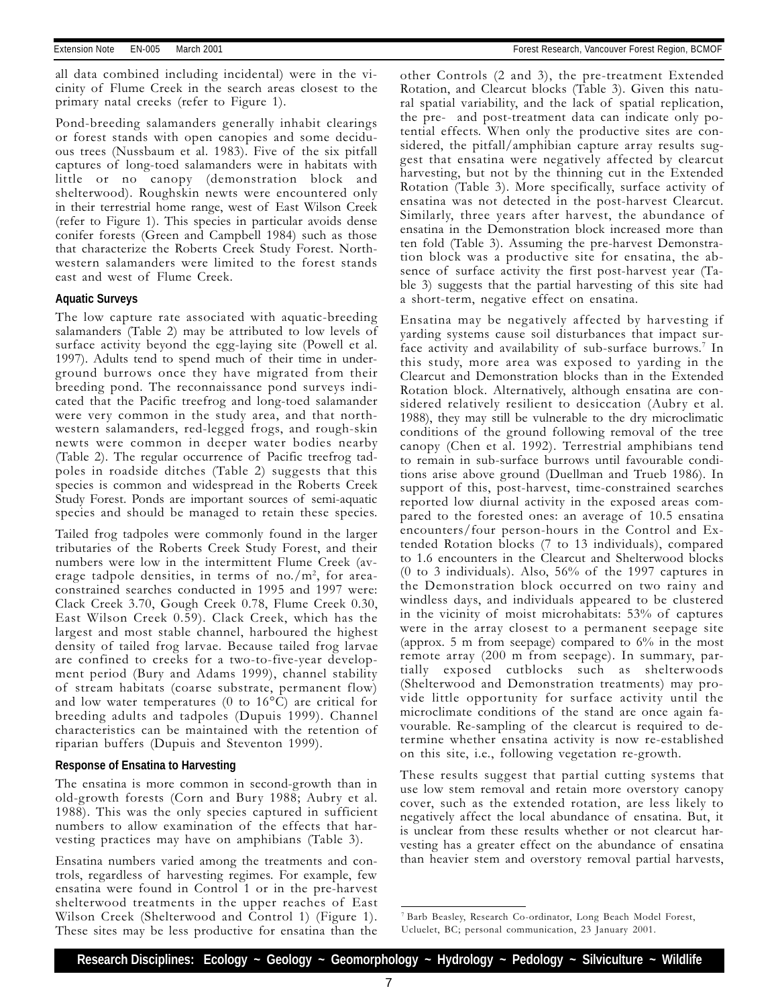all data combined including incidental) were in the vicinity of Flume Creek in the search areas closest to the primary natal creeks (refer to Figure 1).

Pond-breeding salamanders generally inhabit clearings or forest stands with open canopies and some deciduous trees (Nussbaum et al. 1983). Five of the six pitfall captures of long-toed salamanders were in habitats with little or no canopy (demonstration block and shelterwood). Roughskin newts were encountered only in their terrestrial home range, west of East Wilson Creek (refer to Figure 1). This species in particular avoids dense conifer forests (Green and Campbell 1984) such as those that characterize the Roberts Creek Study Forest. Northwestern salamanders were limited to the forest stands east and west of Flume Creek.

#### **Aquatic Surveys**

The low capture rate associated with aquatic-breeding salamanders (Table 2) may be attributed to low levels of surface activity beyond the egg-laying site (Powell et al. 1997). Adults tend to spend much of their time in underground burrows once they have migrated from their breeding pond. The reconnaissance pond surveys indicated that the Pacific treefrog and long-toed salamander were very common in the study area, and that northwestern salamanders, red-legged frogs, and rough-skin newts were common in deeper water bodies nearby (Table 2). The regular occurrence of Pacific treefrog tadpoles in roadside ditches (Table 2) suggests that this species is common and widespread in the Roberts Creek Study Forest. Ponds are important sources of semi-aquatic species and should be managed to retain these species.

Tailed frog tadpoles were commonly found in the larger tributaries of the Roberts Creek Study Forest, and their numbers were low in the intermittent Flume Creek (average tadpole densities, in terms of no./m<sup>2</sup>, for areaconstrained searches conducted in 1995 and 1997 were: Clack Creek 3.70, Gough Creek 0.78, Flume Creek 0.30, East Wilson Creek 0.59). Clack Creek, which has the largest and most stable channel, harboured the highest density of tailed frog larvae. Because tailed frog larvae are confined to creeks for a two-to-five-year development period (Bury and Adams 1999), channel stability of stream habitats (coarse substrate, permanent flow) and low water temperatures (0 to  $16^{\circ}$ C) are critical for breeding adults and tadpoles (Dupuis 1999). Channel characteristics can be maintained with the retention of riparian buffers (Dupuis and Steventon 1999).

#### **Response of Ensatina to Harvesting**

The ensatina is more common in second-growth than in old-growth forests (Corn and Bury 1988; Aubry et al. 1988). This was the only species captured in sufficient numbers to allow examination of the effects that harvesting practices may have on amphibians (Table 3).

Ensatina numbers varied among the treatments and controls, regardless of harvesting regimes. For example, few ensatina were found in Control 1 or in the pre-harvest shelterwood treatments in the upper reaches of East Wilson Creek (Shelterwood and Control 1) (Figure 1). These sites may be less productive for ensatina than the

other Controls (2 and 3), the pre-treatment Extended Rotation, and Clearcut blocks (Table 3). Given this natural spatial variability, and the lack of spatial replication, the pre- and post-treatment data can indicate only potential effects. When only the productive sites are considered, the pitfall/amphibian capture array results suggest that ensatina were negatively affected by clearcut harvesting, but not by the thinning cut in the Extended Rotation (Table 3). More specifically, surface activity of ensatina was not detected in the post-harvest Clearcut. Similarly, three years after harvest, the abundance of ensatina in the Demonstration block increased more than ten fold (Table 3). Assuming the pre-harvest Demonstration block was a productive site for ensatina, the absence of surface activity the first post-harvest year (Table 3) suggests that the partial harvesting of this site had a short-term, negative effect on ensatina.

Ensatina may be negatively affected by harvesting if yarding systems cause soil disturbances that impact surface activity and availability of sub-surface burrows.<sup>7</sup> In this study, more area was exposed to yarding in the Clearcut and Demonstration blocks than in the Extended Rotation block. Alternatively, although ensatina are considered relatively resilient to desiccation (Aubry et al. 1988), they may still be vulnerable to the dry microclimatic conditions of the ground following removal of the tree canopy (Chen et al. 1992). Terrestrial amphibians tend to remain in sub-surface burrows until favourable conditions arise above ground (Duellman and Trueb 1986). In support of this, post-harvest, time-constrained searches reported low diurnal activity in the exposed areas compared to the forested ones: an average of 10.5 ensatina encounters/four person-hours in the Control and Extended Rotation blocks (7 to 13 individuals), compared to 1.6 encounters in the Clearcut and Shelterwood blocks (0 to 3 individuals). Also, 56% of the 1997 captures in the Demonstration block occurred on two rainy and windless days, and individuals appeared to be clustered in the vicinity of moist microhabitats: 53% of captures were in the array closest to a permanent seepage site (approx. 5 m from seepage) compared to 6% in the most remote array (200 m from seepage). In summary, partially exposed cutblocks such as shelterwoods (Shelterwood and Demonstration treatments) may provide little opportunity for surface activity until the microclimate conditions of the stand are once again favourable. Re-sampling of the clearcut is required to determine whether ensatina activity is now re-established on this site, i.e., following vegetation re-growth.

These results suggest that partial cutting systems that use low stem removal and retain more overstory canopy cover, such as the extended rotation, are less likely to negatively affect the local abundance of ensatina. But, it is unclear from these results whether or not clearcut harvesting has a greater effect on the abundance of ensatina than heavier stem and overstory removal partial harvests,

<sup>7</sup> Barb Beasley, Research Co-ordinator, Long Beach Model Forest, Ucluelet, BC; personal communication, 23 January 2001.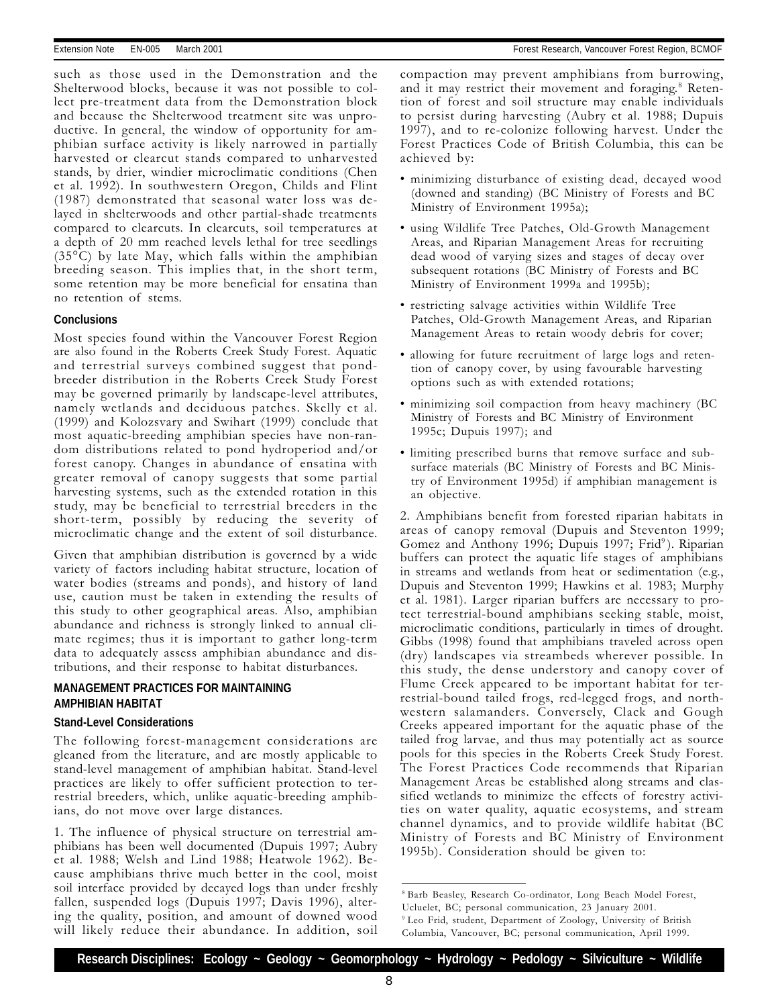such as those used in the Demonstration and the Shelterwood blocks, because it was not possible to collect pre-treatment data from the Demonstration block and because the Shelterwood treatment site was unproductive. In general, the window of opportunity for amphibian surface activity is likely narrowed in partially harvested or clearcut stands compared to unharvested stands, by drier, windier microclimatic conditions (Chen et al. 1992). In southwestern Oregon, Childs and Flint (1987) demonstrated that seasonal water loss was delayed in shelterwoods and other partial-shade treatments compared to clearcuts. In clearcuts, soil temperatures at a depth of 20 mm reached levels lethal for tree seedlings (35°C) by late May, which falls within the amphibian breeding season. This implies that, in the short term, some retention may be more beneficial for ensatina than no retention of stems.

#### **Conclusions**

Most species found within the Vancouver Forest Region are also found in the Roberts Creek Study Forest. Aquatic and terrestrial surveys combined suggest that pondbreeder distribution in the Roberts Creek Study Forest may be governed primarily by landscape-level attributes, namely wetlands and deciduous patches. Skelly et al. (1999) and Kolozsvary and Swihart (1999) conclude that most aquatic-breeding amphibian species have non-random distributions related to pond hydroperiod and/or forest canopy. Changes in abundance of ensatina with greater removal of canopy suggests that some partial harvesting systems, such as the extended rotation in this study, may be beneficial to terrestrial breeders in the short-term, possibly by reducing the severity of microclimatic change and the extent of soil disturbance.

Given that amphibian distribution is governed by a wide variety of factors including habitat structure, location of water bodies (streams and ponds), and history of land use, caution must be taken in extending the results of this study to other geographical areas. Also, amphibian abundance and richness is strongly linked to annual climate regimes; thus it is important to gather long-term data to adequately assess amphibian abundance and distributions, and their response to habitat disturbances.

#### **MANAGEMENT PRACTICES FOR MAINTAINING AMPHIBIAN HABITAT**

#### **Stand-Level Considerations**

The following forest-management considerations are gleaned from the literature, and are mostly applicable to stand-level management of amphibian habitat. Stand-level practices are likely to offer sufficient protection to terrestrial breeders, which, unlike aquatic-breeding amphibians, do not move over large distances.

1. The influence of physical structure on terrestrial amphibians has been well documented (Dupuis 1997; Aubry et al. 1988; Welsh and Lind 1988; Heatwole 1962). Because amphibians thrive much better in the cool, moist soil interface provided by decayed logs than under freshly fallen, suspended logs (Dupuis 1997; Davis 1996), altering the quality, position, and amount of downed wood will likely reduce their abundance. In addition, soil

compaction may prevent amphibians from burrowing, and it may restrict their movement and foraging.<sup>8</sup> Retention of forest and soil structure may enable individuals to persist during harvesting (Aubry et al. 1988; Dupuis 1997), and to re-colonize following harvest. Under the Forest Practices Code of British Columbia, this can be achieved by:

- minimizing disturbance of existing dead, decayed wood (downed and standing) (BC Ministry of Forests and BC Ministry of Environment 1995a);
- using Wildlife Tree Patches, Old-Growth Management Areas, and Riparian Management Areas for recruiting dead wood of varying sizes and stages of decay over subsequent rotations (BC Ministry of Forests and BC Ministry of Environment 1999a and 1995b);
- restricting salvage activities within Wildlife Tree Patches, Old-Growth Management Areas, and Riparian Management Areas to retain woody debris for cover;
- allowing for future recruitment of large logs and retention of canopy cover, by using favourable harvesting options such as with extended rotations;
- minimizing soil compaction from heavy machinery (BC Ministry of Forests and BC Ministry of Environment 1995c; Dupuis 1997); and
- limiting prescribed burns that remove surface and subsurface materials (BC Ministry of Forests and BC Ministry of Environment 1995d) if amphibian management is an objective.

2. Amphibians benefit from forested riparian habitats in areas of canopy removal (Dupuis and Steventon 1999; Gomez and Anthony 1996; Dupuis 1997; Frid<sup>9</sup>). Riparian buffers can protect the aquatic life stages of amphibians in streams and wetlands from heat or sedimentation (e.g., Dupuis and Steventon 1999; Hawkins et al. 1983; Murphy et al. 1981). Larger riparian buffers are necessary to protect terrestrial-bound amphibians seeking stable, moist, microclimatic conditions, particularly in times of drought. Gibbs (1998) found that amphibians traveled across open (dry) landscapes via streambeds wherever possible. In this study, the dense understory and canopy cover of Flume Creek appeared to be important habitat for terrestrial-bound tailed frogs, red-legged frogs, and northwestern salamanders. Conversely, Clack and Gough Creeks appeared important for the aquatic phase of the tailed frog larvae, and thus may potentially act as source pools for this species in the Roberts Creek Study Forest. The Forest Practices Code recommends that Riparian Management Areas be established along streams and classified wetlands to minimize the effects of forestry activities on water quality, aquatic ecosystems, and stream channel dynamics, and to provide wildlife habitat (BC Ministry of Forests and BC Ministry of Environment 1995b). Consideration should be given to:

<sup>8</sup> Barb Beasley, Research Co-ordinator, Long Beach Model Forest, Ucluelet, BC; personal communication, 23 January 2001. 9 Leo Frid, student, Department of Zoology, University of British Columbia, Vancouver, BC; personal communication, April 1999.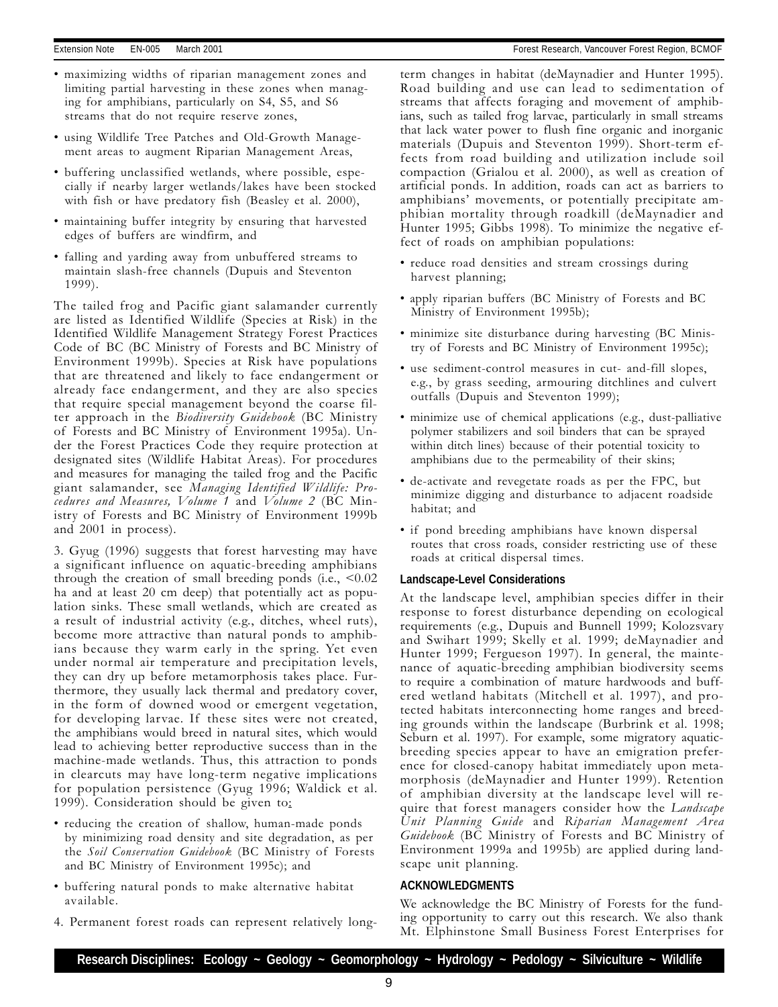- maximizing widths of riparian management zones and limiting partial harvesting in these zones when managing for amphibians, particularly on S4, S5, and S6 streams that do not require reserve zones,
- using Wildlife Tree Patches and Old-Growth Management areas to augment Riparian Management Areas,
- buffering unclassified wetlands, where possible, especially if nearby larger wetlands/lakes have been stocked with fish or have predatory fish (Beasley et al. 2000),
- maintaining buffer integrity by ensuring that harvested edges of buffers are windfirm, and
- falling and yarding away from unbuffered streams to maintain slash-free channels (Dupuis and Steventon 1999).

The tailed frog and Pacific giant salamander currently are listed as Identified Wildlife (Species at Risk) in the Identified Wildlife Management Strategy Forest Practices Code of BC (BC Ministry of Forests and BC Ministry of Environment 1999b). Species at Risk have populations that are threatened and likely to face endangerment or already face endangerment, and they are also species that require special management beyond the coarse filter approach in the Biodiversity Guidebook (BC Ministry of Forests and BC Ministry of Environment 1995a). Under the Forest Practices Code they require protection at designated sites (Wildlife Habitat Areas). For procedures and measures for managing the tailed frog and the Pacific giant salamander, see Managing Identified Wildlife: Procedures and Measures, Volume 1 and Volume 2 (BC Ministry of Forests and BC Ministry of Environment 1999b and 2001 in process).

3. Gyug (1996) suggests that forest harvesting may have a significant influence on aquatic-breeding amphibians through the creation of small breeding ponds (i.e.,  $<0.02$ ) ha and at least 20 cm deep) that potentially act as population sinks. These small wetlands, which are created as a result of industrial activity (e.g., ditches, wheel ruts), become more attractive than natural ponds to amphibians because they warm early in the spring. Yet even under normal air temperature and precipitation levels, they can dry up before metamorphosis takes place. Furthermore, they usually lack thermal and predatory cover, in the form of downed wood or emergent vegetation, for developing larvae. If these sites were not created, the amphibians would breed in natural sites, which would lead to achieving better reproductive success than in the machine-made wetlands. Thus, this attraction to ponds in clearcuts may have long-term negative implications for population persistence (Gyug 1996; Waldick et al. 1999). Consideration should be given to:

- reducing the creation of shallow, human-made ponds by minimizing road density and site degradation, as per the Soil Conservation Guidebook (BC Ministry of Forests and BC Ministry of Environment 1995c); and
- buffering natural ponds to make alternative habitat available.
- 4. Permanent forest roads can represent relatively long-

term changes in habitat (deMaynadier and Hunter 1995). Road building and use can lead to sedimentation of streams that affects foraging and movement of amphibians, such as tailed frog larvae, particularly in small streams that lack water power to flush fine organic and inorganic materials (Dupuis and Steventon 1999). Short-term effects from road building and utilization include soil compaction (Grialou et al. 2000), as well as creation of artificial ponds. In addition, roads can act as barriers to amphibians' movements, or potentially precipitate amphibian mortality through roadkill (deMaynadier and Hunter 1995; Gibbs 1998). To minimize the negative effect of roads on amphibian populations:

- reduce road densities and stream crossings during harvest planning;
- apply riparian buffers (BC Ministry of Forests and BC Ministry of Environment 1995b);
- minimize site disturbance during harvesting (BC Ministry of Forests and BC Ministry of Environment 1995c);
- use sediment-control measures in cut- and-fill slopes, e.g., by grass seeding, armouring ditchlines and culvert outfalls (Dupuis and Steventon 1999);
- minimize use of chemical applications (e.g., dust-palliative polymer stabilizers and soil binders that can be sprayed within ditch lines) because of their potential toxicity to amphibians due to the permeability of their skins;
- de-activate and revegetate roads as per the FPC, but minimize digging and disturbance to adjacent roadside habitat; and
- if pond breeding amphibians have known dispersal routes that cross roads, consider restricting use of these roads at critical dispersal times.

#### **Landscape-Level Considerations**

At the landscape level, amphibian species differ in their response to forest disturbance depending on ecological requirements (e.g., Dupuis and Bunnell 1999; Kolozsvary and Swihart 1999; Skelly et al. 1999; deMaynadier and Hunter 1999; Fergueson 1997). In general, the maintenance of aquatic-breeding amphibian biodiversity seems to require a combination of mature hardwoods and buffered wetland habitats (Mitchell et al. 1997), and protected habitats interconnecting home ranges and breeding grounds within the landscape (Burbrink et al. 1998; Seburn et al. 1997). For example, some migratory aquaticbreeding species appear to have an emigration preference for closed-canopy habitat immediately upon metamorphosis (deMaynadier and Hunter 1999). Retention of amphibian diversity at the landscape level will require that forest managers consider how the *Landscape* Unit Planning Guide and Riparian Management Area Guidebook (BC Ministry of Forests and BC Ministry of Environment 1999a and 1995b) are applied during landscape unit planning.

#### **ACKNOWLEDGMENTS**

We acknowledge the BC Ministry of Forests for the funding opportunity to carry out this research. We also thank Mt. Elphinstone Small Business Forest Enterprises for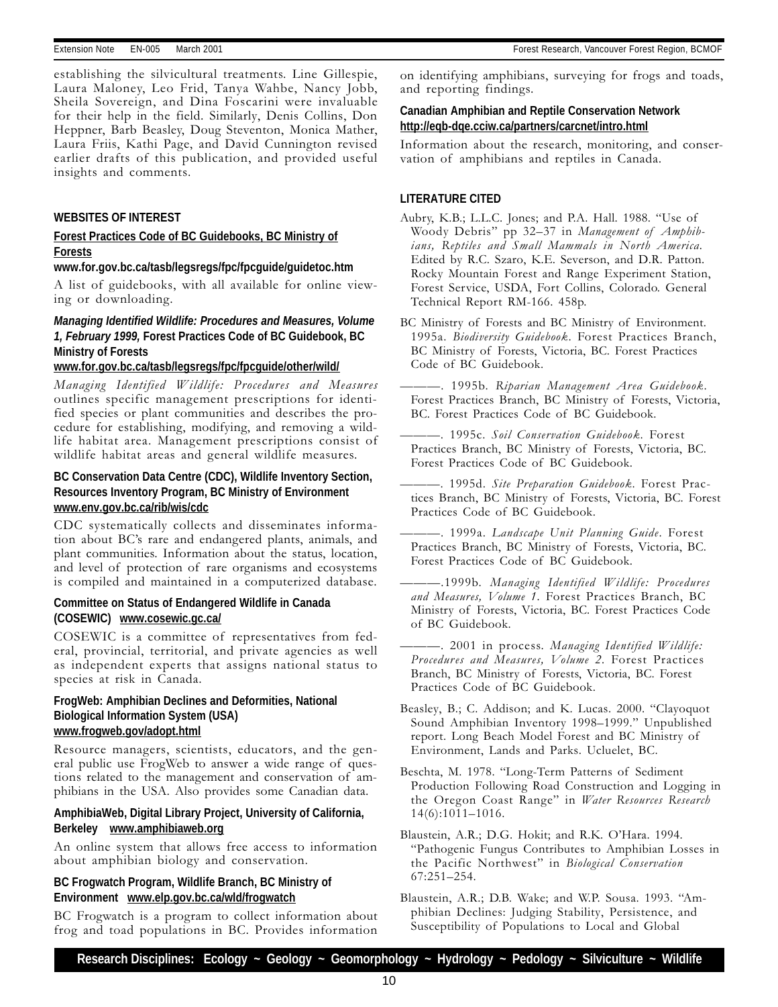establishing the silvicultural treatments. Line Gillespie, Laura Maloney, Leo Frid, Tanya Wahbe, Nancy Jobb, Sheila Sovereign, and Dina Foscarini were invaluable for their help in the field. Similarly, Denis Collins, Don Heppner, Barb Beasley, Doug Steventon, Monica Mather, Laura Friis, Kathi Page, and David Cunnington revised earlier drafts of this publication, and provided useful insights and comments.

#### **WEBSITES OF INTEREST**

#### **Forest Practices Code of BC Guidebooks, BC Ministry of Forests**

**www.for.gov.bc.ca/tasb/legsregs/fpc/fpcguide/guidetoc.htm**

A list of guidebooks, with all available for online viewing or downloading.

### *Managing Identified Wildlife: Procedures and Measures, Volume 1, February 1999,* **Forest Practices Code of BC Guidebook, BC Ministry of Forests**

#### **www.for.gov.bc.ca/tasb/legsregs/fpc/fpcguide/other/wild/**

Managing Identified Wildlife: Procedures and Measures outlines specific management prescriptions for identified species or plant communities and describes the procedure for establishing, modifying, and removing a wildlife habitat area. Management prescriptions consist of wildlife habitat areas and general wildlife measures.

#### **BC Conservation Data Centre (CDC), Wildlife Inventory Section, Resources Inventory Program, BC Ministry of Environment www.env.gov.bc.ca/rib/wis/cdc**

CDC systematically collects and disseminates information about BC's rare and endangered plants, animals, and plant communities. Information about the status, location, and level of protection of rare organisms and ecosystems is compiled and maintained in a computerized database.

#### **Committee on Status of Endangered Wildlife in Canada (COSEWIC) www.cosewic.gc.ca/**

COSEWIC is a committee of representatives from federal, provincial, territorial, and private agencies as well as independent experts that assigns national status to species at risk in Canada.

#### **FrogWeb: Amphibian Declines and Deformities, National Biological Information System (USA) www.frogweb.gov/adopt.html**

Resource managers, scientists, educators, and the general public use FrogWeb to answer a wide range of questions related to the management and conservation of amphibians in the USA. Also provides some Canadian data.

#### **AmphibiaWeb, Digital Library Project, University of California, Berkeley www.amphibiaweb.org**

An online system that allows free access to information about amphibian biology and conservation.

#### **BC Frogwatch Program, Wildlife Branch, BC Ministry of Environment www.elp.gov.bc.ca/wld/frogwatch**

BC Frogwatch is a program to collect information about frog and toad populations in BC. Provides information

on identifying amphibians, surveying for frogs and toads, and reporting findings.

#### **Canadian Amphibian and Reptile Conservation Network http://eqb-dqe.cciw.ca/partners/carcnet/intro.html**

Information about the research, monitoring, and conservation of amphibians and reptiles in Canada.

#### **LITERATURE CITED**

- Aubry, K.B.; L.L.C. Jones; and P.A. Hall. 1988. "Use of Woody Debris" pp 32-37 in Management of Amphibians, Reptiles and Small Mammals in North America. Edited by R.C. Szaro, K.E. Severson, and D.R. Patton. Rocky Mountain Forest and Range Experiment Station, Forest Service, USDA, Fort Collins, Colorado. General Technical Report RM-166. 458p.
- BC Ministry of Forests and BC Ministry of Environment. 1995a. Biodiversity Guidebook. Forest Practices Branch, BC Ministry of Forests, Victoria, BC. Forest Practices Code of BC Guidebook.
- . 1995b. Riparian Management Area Guidebook. Forest Practices Branch, BC Ministry of Forests, Victoria, BC. Forest Practices Code of BC Guidebook.
- . 1995c. Soil Conservation Guidebook. Forest Practices Branch, BC Ministry of Forests, Victoria, BC. Forest Practices Code of BC Guidebook.
- . 1995d. Site Preparation Guidebook. Forest Practices Branch, BC Ministry of Forests, Victoria, BC. Forest Practices Code of BC Guidebook.
- . 1999a. Landscape Unit Planning Guide. Forest Practices Branch, BC Ministry of Forests, Victoria, BC. Forest Practices Code of BC Guidebook.
- .1999b. Managing Identified Wildlife: Procedures and Measures, Volume 1. Forest Practices Branch, BC Ministry of Forests, Victoria, BC. Forest Practices Code of BC Guidebook.
- -. 2001 in process. Managing Identified Wildlife: Procedures and Measures, Volume 2. Forest Practices Branch, BC Ministry of Forests, Victoria, BC. Forest Practices Code of BC Guidebook.
- Beasley, B.; C. Addison; and K. Lucas. 2000. "Clayoquot Sound Amphibian Inventory 1998-1999." Unpublished report. Long Beach Model Forest and BC Ministry of Environment, Lands and Parks. Ucluelet, BC.
- Beschta, M. 1978. "Long-Term Patterns of Sediment Production Following Road Construction and Logging in the Oregon Coast Range" in Water Resources Research  $14(6):1011-1016.$
- Blaustein, A.R.; D.G. Hokit; and R.K. O'Hara. 1994. Pathogenic Fungus Contributes to Amphibian Losses in the Pacific Northwest" in Biological Conservation 67:251-254.
- Blaustein, A.R.; D.B. Wake; and W.P. Sousa. 1993. "Amphibian Declines: Judging Stability, Persistence, and Susceptibility of Populations to Local and Global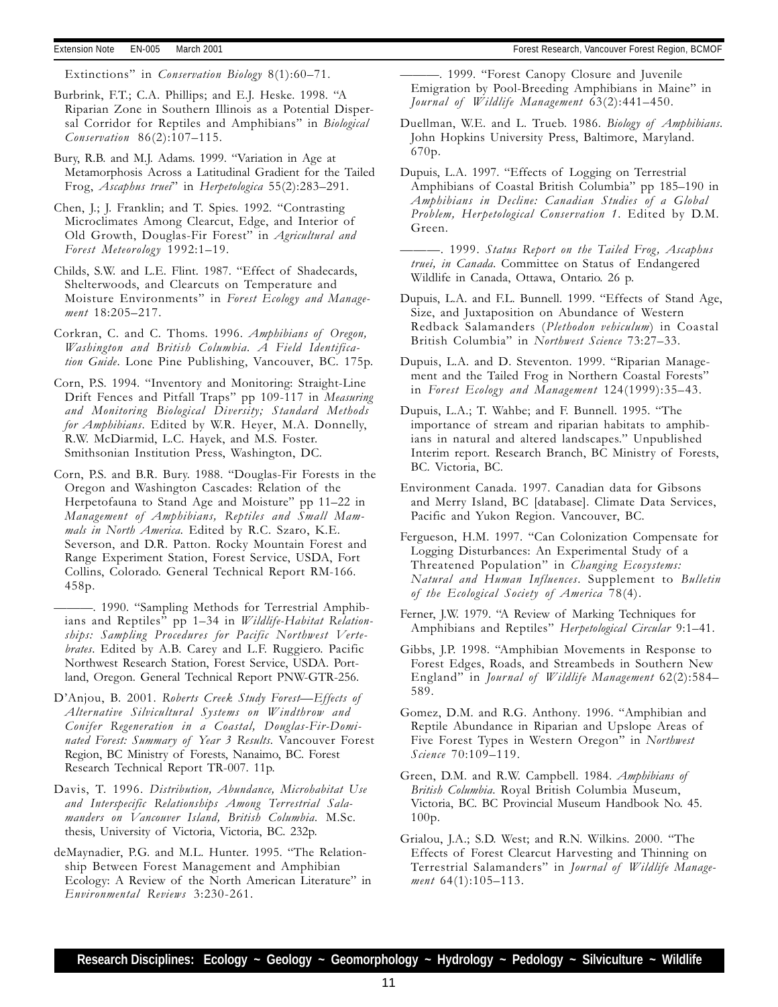Extinctions" in *Conservation Biology* 8(1):60-71.

Burbrink, F.T.; C.A. Phillips; and E.J. Heske. 1998. "A Riparian Zone in Southern Illinois as a Potential Dispersal Corridor for Reptiles and Amphibians" in Biological  $Conservation 86(2):107-115.$ 

Bury, R.B. and M.J. Adams. 1999. "Variation in Age at Metamorphosis Across a Latitudinal Gradient for the Tailed Frog, Ascaphus truei" in Herpetologica 55(2):283-291.

Chen, J.; J. Franklin; and T. Spies. 1992. "Contrasting Microclimates Among Clearcut, Edge, and Interior of Old Growth, Douglas-Fir Forest" in Agricultural and Forest Meteorology 1992:1-19.

Childs, S.W. and L.E. Flint. 1987. "Effect of Shadecards, Shelterwoods, and Clearcuts on Temperature and Moisture Environments" in Forest Ecology and Management 18:205-217.

Corkran, C. and C. Thoms. 1996. Amphibians of Oregon, Washington and British Columbia. A Field Identification Guide. Lone Pine Publishing, Vancouver, BC. 175p.

Corn, P.S. 1994. "Inventory and Monitoring: Straight-Line Drift Fences and Pitfall Traps" pp 109-117 in Measuring and Monitoring Biological Diversity; Standard Methods for Amphibians. Edited by W.R. Heyer, M.A. Donnelly, R.W. McDiarmid, L.C. Hayek, and M.S. Foster. Smithsonian Institution Press, Washington, DC.

Corn, P.S. and B.R. Bury. 1988. "Douglas-Fir Forests in the Oregon and Washington Cascades: Relation of the Herpetofauna to Stand Age and Moisture" pp 11-22 in Management of Amphibians, Reptiles and Small Mammals in North America. Edited by R.C. Szaro, K.E. Severson, and D.R. Patton. Rocky Mountain Forest and Range Experiment Station, Forest Service, USDA, Fort Collins, Colorado. General Technical Report RM-166. 458p.

- 1990. "Sampling Methods for Terrestrial Amphibians and Reptiles" pp 1-34 in Wildlife-Habitat Relationships: Sampling Procedures for Pacific Northwest Vertebrates. Edited by A.B. Carey and L.F. Ruggiero. Pacific Northwest Research Station, Forest Service, USDA. Portland, Oregon. General Technical Report PNW-GTR-256.

D'Anjou, B. 2001. Roberts Creek Study Forest-Effects of Alternative Silvicultural Systems on Windthrow and Conifer Regeneration in a Coastal, Douglas-Fir-Dominated Forest: Summary of Year 3 Results. Vancouver Forest Region, BC Ministry of Forests, Nanaimo, BC. Forest Research Technical Report TR-007. 11p.

Davis, T. 1996. Distribution, Abundance, Microhabitat Use and Interspecific Relationships Among Terrestrial Salamanders on Vancouver Island, British Columbia. M.Sc. thesis, University of Victoria, Victoria, BC. 232p.

deMaynadier, P.G. and M.L. Hunter. 1995. "The Relationship Between Forest Management and Amphibian Ecology: A Review of the North American Literature" in Environmental Reviews 3:230-261.

-. 1999. "Forest Canopy Closure and Juvenile Emigration by Pool-Breeding Amphibians in Maine" in Journal of Wildlife Management  $63(2)$ : 441-450.

Duellman, W.E. and L. Trueb. 1986. Biology of Amphibians. John Hopkins University Press, Baltimore, Maryland. 670p.

Dupuis, L.A. 1997. "Effects of Logging on Terrestrial Amphibians of Coastal British Columbia" pp 185–190 in Amphibians in Decline: Canadian Studies of a Global Problem, Herpetological Conservation 1. Edited by D.M. Green.

-. 1999. Status Report on the Tailed Frog, Ascaphus truei, in Canada. Committee on Status of Endangered Wildlife in Canada, Ottawa, Ontario. 26 p.

Dupuis, L.A. and F.L. Bunnell. 1999. "Effects of Stand Age, Size, and Juxtaposition on Abundance of Western Redback Salamanders (Plethodon vehiculum) in Coastal British Columbia" in Northwest Science 73:27-33.

Dupuis, L.A. and D. Steventon. 1999. "Riparian Management and the Tailed Frog in Northern Coastal Forests in Forest Ecology and Management 124(1999):35-43.

Dupuis, L.A.; T. Wahbe; and F. Bunnell. 1995. "The importance of stream and riparian habitats to amphibians in natural and altered landscapes." Unpublished Interim report. Research Branch, BC Ministry of Forests, BC. Victoria, BC.

Environment Canada. 1997. Canadian data for Gibsons and Merry Island, BC [database]. Climate Data Services, Pacific and Yukon Region. Vancouver, BC.

- Fergueson, H.M. 1997. "Can Colonization Compensate for Logging Disturbances: An Experimental Study of a Threatened Population" in Changing Ecosystems: Natural and Human Influences. Supplement to Bulletin of the Ecological Society of America 78(4).
- Ferner, J.W. 1979. "A Review of Marking Techniques for Amphibians and Reptiles" Herpetological Circular 9:1-41.
- Gibbs, J.P. 1998. "Amphibian Movements in Response to Forest Edges, Roads, and Streambeds in Southern New England" in Journal of Wildlife Management 62(2):584-589.

Gomez, D.M. and R.G. Anthony. 1996. "Amphibian and Reptile Abundance in Riparian and Upslope Areas of Five Forest Types in Western Oregon" in Northwest Science 70:109-119.

Green, D.M. and R.W. Campbell. 1984. Amphibians of British Columbia. Royal British Columbia Museum, Victoria, BC. BC Provincial Museum Handbook No. 45. 100p.

Grialou, J.A.; S.D. West; and R.N. Wilkins. 2000. "The Effects of Forest Clearcut Harvesting and Thinning on Terrestrial Salamanders" in Journal of Wildlife Management  $64(1):105-113$ .